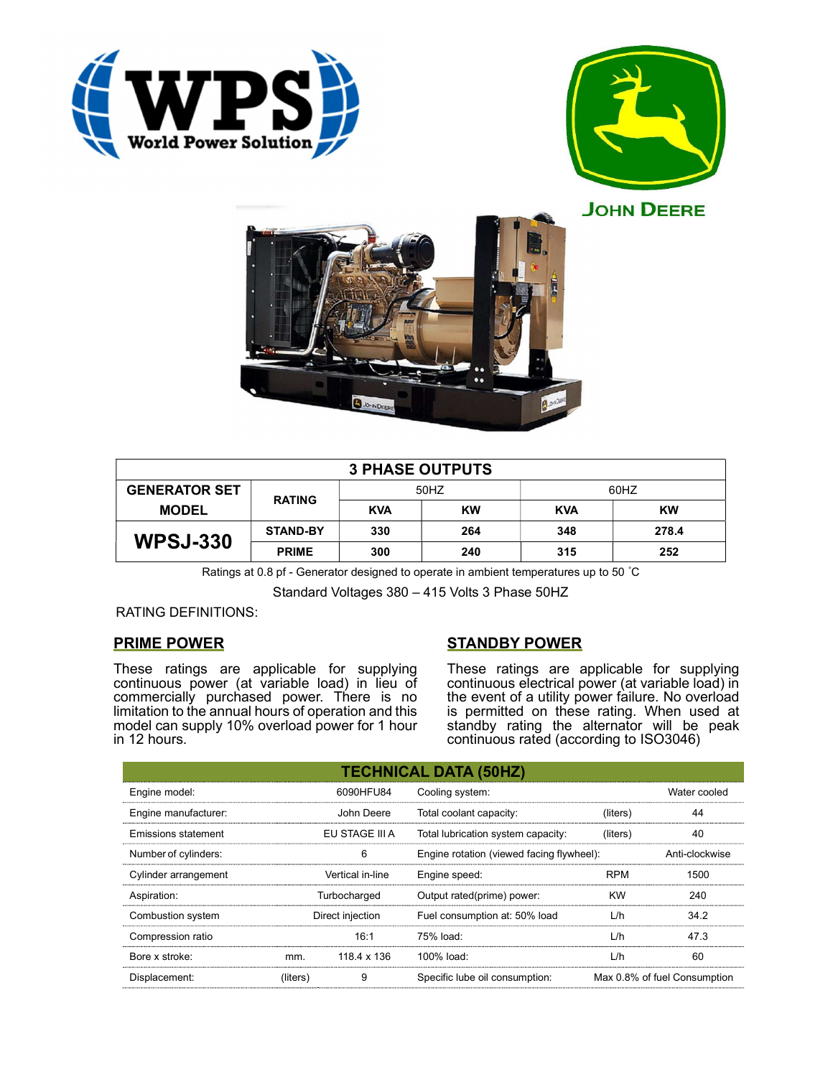





| <b>3 PHASE OUTPUTS</b> |                 |            |           |            |       |  |
|------------------------|-----------------|------------|-----------|------------|-------|--|
| <b>GENERATOR SET</b>   | <b>RATING</b>   | 50HZ       |           | 60HZ       |       |  |
| <b>MODEL</b>           |                 | <b>KVA</b> | <b>KW</b> | <b>KVA</b> | KW    |  |
| <b>WPSJ-330</b>        | <b>STAND-BY</b> | 330        | 264       | 348        | 278.4 |  |
|                        | <b>PRIME</b>    | 300        | 240       | 315        | 252   |  |

Ratings at 0.8 pf - Generator designed to operate in ambient temperatures up to 50 °C

Standard Voltages 380 – 415 Volts 3 Phase 50HZ

### RATING DEFINITIONS:

# PRIME POWER

These ratings are applicable for supplying continuous power (at variable load) in lieu of commercially purchased power. There is no limitation to the annual hours of operation and this model can supply 10% overload power for 1 hour in 12 hours.

# STANDBY POWER

These ratings are applicable for supplying continuous electrical power (at variable load) in the event of a utility power failure. No overload is permitted on these rating. When used at standby rating the alternator will be peak continuous rated (according to ISO3046)

| <b>TECHNICAL DATA (50HZ)</b> |                  |                  |                                           |            |                              |  |
|------------------------------|------------------|------------------|-------------------------------------------|------------|------------------------------|--|
| Engine model:                | 6090HFU84        |                  | Cooling system:                           |            | Water cooled                 |  |
| Engine manufacturer:         |                  | John Deere       | Total coolant capacity:                   | (liters)   | 44                           |  |
| Emissions statement          | EU STAGE III A   |                  | Total lubrication system capacity:        | (liters)   | 40                           |  |
| Number of cylinders:         | 6                |                  | Engine rotation (viewed facing flywheel): |            | Anti-clockwise               |  |
| Cylinder arrangement         | Vertical in-line |                  | Engine speed:                             | <b>RPM</b> | 1500                         |  |
| Aspiration:                  | Turbocharged     |                  | Output rated(prime) power:                | <b>KW</b>  | 240                          |  |
| Combustion system            |                  | Direct injection | Fuel consumption at: 50% load             | L/h        | 34.2                         |  |
| Compression ratio            |                  | 16:1             | 75% load:                                 | L/h        | 47.3                         |  |
| Bore x stroke:               | mm.              | 118.4 x 136      | 100% load:                                | L/h        | 60                           |  |
| Displacement:                | (liters)         | 9                | Specific lube oil consumption:            |            | Max 0.8% of fuel Consumption |  |